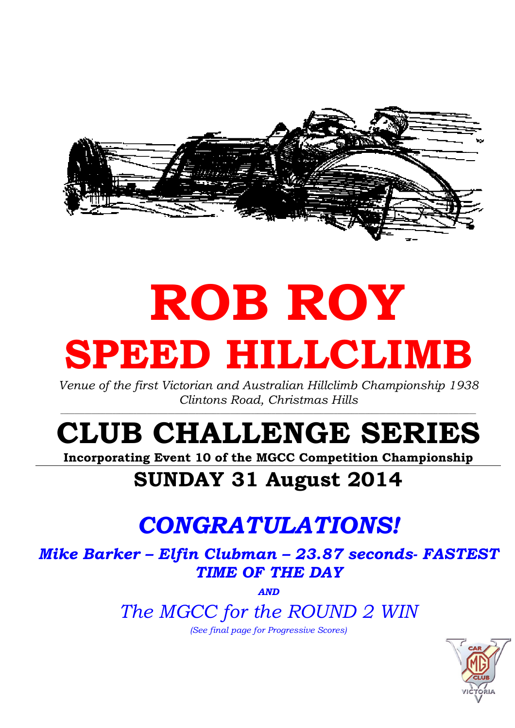

# ROB ROY SPEED HILLCLIMB

Venue of the first Victorian and Australian Hillclimb Championship 1938 Clintons Road, Christmas Hills

# CLUB CHALLENGE SERIES

Incorporating Event 10 of the MGCC Competition Championship

### SUNDAY 31 August 2014

## CONGRATULATIONS!

Mike Barker – Elfin Clubman – 23.87 seconds- FASTEST TIME OF THE DAY

AND

The MGCC for the ROUND 2 WIN

(See final page for Progressive Scores)

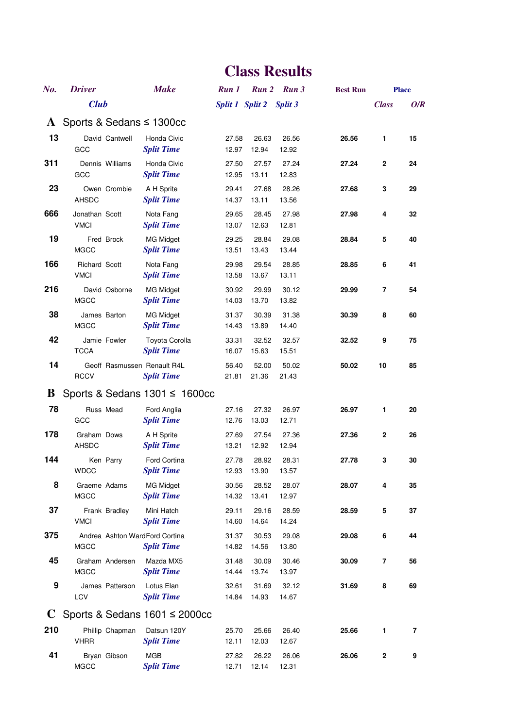| No.      | <b>Driver</b>                       |                 | <b>Make</b>                                         | Run 1          | Run 2           | Run 3          | <b>Best Run</b> |              | <b>Place</b>   |
|----------|-------------------------------------|-----------------|-----------------------------------------------------|----------------|-----------------|----------------|-----------------|--------------|----------------|
|          | <b>Club</b>                         |                 |                                                     |                | Split 1 Split 2 | Split 3        |                 | <b>Class</b> | O/R            |
|          |                                     |                 | A Sports & Sedans $\leq$ 1300cc                     |                |                 |                |                 |              |                |
| 13       | GCC                                 | David Cantwell  | Honda Civic<br><b>Split Time</b>                    | 27.58<br>12.97 | 26.63<br>12.94  | 26.56<br>12.92 | 26.56           | 1            | 15             |
| 311      | GCC                                 | Dennis Williams | Honda Civic<br><b>Split Time</b>                    | 27.50<br>12.95 | 27.57<br>13.11  | 27.24<br>12.83 | 27.24           | 2            | 24             |
| 23       | <b>AHSDC</b>                        | Owen Crombie    | A H Sprite<br><b>Split Time</b>                     | 29.41<br>14.37 | 27.68<br>13.11  | 28.26<br>13.56 | 27.68           | 3            | 29             |
| 666      | Jonathan Scott<br><b>VMCI</b>       |                 | Nota Fang<br><b>Split Time</b>                      | 29.65<br>13.07 | 28.45<br>12.63  | 27.98<br>12.81 | 27.98           | 4            | 32             |
| 19       | <b>MGCC</b>                         | Fred Brock      | <b>MG Midget</b><br><b>Split Time</b>               | 29.25<br>13.51 | 28.84<br>13.43  | 29.08<br>13.44 | 28.84           | 5            | 40             |
| 166      | <b>Richard Scott</b><br><b>VMCI</b> |                 | Nota Fang<br><b>Split Time</b>                      | 29.98<br>13.58 | 29.54<br>13.67  | 28.85<br>13.11 | 28.85           | 6            | 41             |
| 216      | MGCC                                | David Osborne   | <b>MG Midget</b><br><b>Split Time</b>               | 30.92<br>14.03 | 29.99<br>13.70  | 30.12<br>13.82 | 29.99           | 7            | 54             |
| 38       | James Barton<br><b>MGCC</b>         |                 | MG Midget<br><b>Split Time</b>                      | 31.37<br>14.43 | 30.39<br>13.89  | 31.38<br>14.40 | 30.39           | 8            | 60             |
| 42       | <b>TCCA</b>                         | Jamie Fowler    | Toyota Corolla<br><b>Split Time</b>                 | 33.31<br>16.07 | 32.52<br>15.63  | 32.57<br>15.51 | 32.52           | 9            | 75             |
| 14       | <b>RCCV</b>                         |                 | Geoff Rasmussen Renault R4L<br><b>Split Time</b>    | 56.40<br>21.81 | 52.00<br>21.36  | 50.02<br>21.43 | 50.02           | 10           | 85             |
| $\bf{B}$ |                                     |                 | Sports & Sedans $1301 \le 1600 \text{cc}$           |                |                 |                |                 |              |                |
| 78       | GCC                                 | Russ Mead       | Ford Anglia<br><b>Split Time</b>                    | 27.16<br>12.76 | 27.32<br>13.03  | 26.97<br>12.71 | 26.97           | 1            | 20             |
| 178      | Graham Dows<br>AHSDC                |                 | A H Sprite<br><b>Split Time</b>                     | 27.69<br>13.21 | 27.54<br>12.92  | 27.36<br>12.94 | 27.36           | 2            | 26             |
| 144      | <b>WDCC</b>                         | Ken Parry       | Ford Cortina<br><b>Split Time</b>                   | 27.78<br>12.93 | 28.92<br>13.90  | 28.31<br>13.57 | 27.78           | 3            | 30             |
| 8        | Graeme Adams<br><b>MGCC</b>         |                 | <b>MG Midget</b><br><b>Split Time</b>               | 30.56<br>14.32 | 28.52<br>13.41  | 28.07<br>12.97 | 28.07           | 4            | 35             |
| 37       | <b>VMCI</b>                         | Frank Bradley   | Mini Hatch<br><b>Split Time</b>                     | 29.11<br>14.60 | 29.16<br>14.64  | 28.59<br>14.24 | 28.59           | 5            | 37             |
| 375      | <b>MGCC</b>                         |                 | Andrea Ashton WardFord Cortina<br><b>Split Time</b> | 31.37<br>14.82 | 30.53<br>14.56  | 29.08<br>13.80 | 29.08           | 6            | 44             |
| 45       | <b>MGCC</b>                         | Graham Andersen | Mazda MX5<br><b>Split Time</b>                      | 31.48<br>14.44 | 30.09<br>13.74  | 30.46<br>13.97 | 30.09           | 7            | 56             |
| 9        | LCV                                 | James Patterson | Lotus Elan<br><b>Split Time</b>                     | 32.61<br>14.84 | 31.69<br>14.93  | 32.12<br>14.67 | 31.69           | 8            | 69             |
| C        |                                     |                 | Sports & Sedans $1601 \le 2000$ cc                  |                |                 |                |                 |              |                |
| 210      | <b>VHRR</b>                         | Phillip Chapman | Datsun 120Y<br><b>Split Time</b>                    | 25.70<br>12.11 | 25.66<br>12.03  | 26.40<br>12.67 | 25.66           | 1            | $\overline{7}$ |
| 41       | <b>MGCC</b>                         | Bryan Gibson    | <b>MGB</b><br><b>Split Time</b>                     | 27.82<br>12.71 | 26.22<br>12.14  | 26.06<br>12.31 | 26.06           | $\mathbf 2$  | 9              |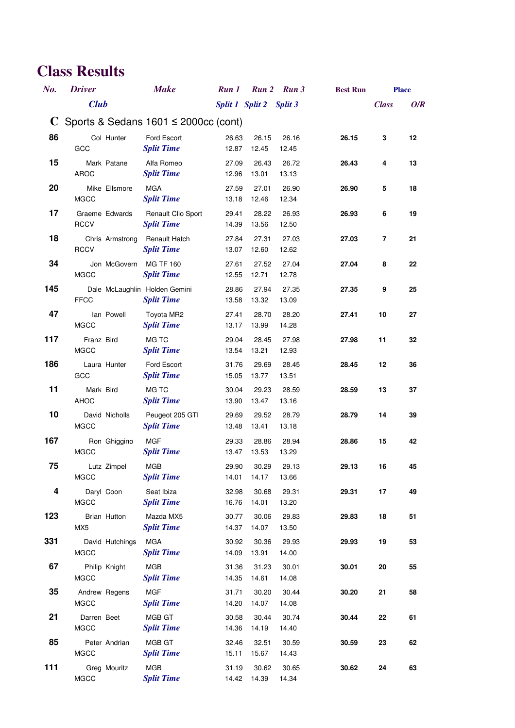| No. | <b>Driver</b>                   | <b>Make</b>                                        | Run 1          |                         | Run 2 Run 3    | <b>Best Run</b> |              | <b>Place</b> |
|-----|---------------------------------|----------------------------------------------------|----------------|-------------------------|----------------|-----------------|--------------|--------------|
|     | <b>Club</b>                     |                                                    |                | Split 1 Split 2 Split 3 |                |                 | <b>Class</b> | O/R          |
| C.  |                                 | Sports & Sedans $1601 \le 2000 \text{cc}$ (cont)   |                |                         |                |                 |              |              |
| 86  | Col Hunter<br>GCC               | Ford Escort<br><b>Split Time</b>                   | 26.63<br>12.87 | 26.15<br>12.45          | 26.16<br>12.45 | 26.15           | 3            | 12           |
| 15  | Mark Patane<br>AROC             | Alfa Romeo<br><b>Split Time</b>                    | 27.09<br>12.96 | 26.43<br>13.01          | 26.72<br>13.13 | 26.43           | 4            | 13           |
| 20  | Mike Ellsmore<br><b>MGCC</b>    | <b>MGA</b><br><b>Split Time</b>                    | 27.59<br>13.18 | 27.01<br>12.46          | 26.90<br>12.34 | 26.90           | 5            | 18           |
| 17  | Graeme Edwards<br><b>RCCV</b>   | Renault Clio Sport<br><b>Split Time</b>            | 29.41<br>14.39 | 28.22<br>13.56          | 26.93<br>12.50 | 26.93           | 6            | 19           |
| 18  | Chris Armstrong<br><b>RCCV</b>  | Renault Hatch<br><b>Split Time</b>                 | 27.84<br>13.07 | 27.31<br>12.60          | 27.03<br>12.62 | 27.03           | 7            | 21           |
| 34  | Jon McGovern<br>MGCC            | <b>MG TF 160</b><br><b>Split Time</b>              | 27.61<br>12.55 | 27.52<br>12.71          | 27.04<br>12.78 | 27.04           | 8            | 22           |
| 145 | <b>FFCC</b>                     | Dale McLaughlin Holden Gemini<br><b>Split Time</b> | 28.86<br>13.58 | 27.94<br>13.32          | 27.35<br>13.09 | 27.35           | 9            | 25           |
| 47  | lan Powell<br><b>MGCC</b>       | Toyota MR2<br><b>Split Time</b>                    | 27.41<br>13.17 | 28.70<br>13.99          | 28.20<br>14.28 | 27.41           | 10           | 27           |
| 117 | Franz Bird<br><b>MGCC</b>       | MG TC<br><b>Split Time</b>                         | 29.04<br>13.54 | 28.45<br>13.21          | 27.98<br>12.93 | 27.98           | 11           | 32           |
| 186 | Laura Hunter<br>GCC             | Ford Escort<br><b>Split Time</b>                   | 31.76<br>15.05 | 29.69<br>13.77          | 28.45<br>13.51 | 28.45           | 12           | 36           |
| 11  | Mark Bird<br>AHOC               | MG TC<br><b>Split Time</b>                         | 30.04<br>13.90 | 29.23<br>13.47          | 28.59<br>13.16 | 28.59           | 13           | 37           |
| 10  | David Nicholls<br><b>MGCC</b>   | Peugeot 205 GTI<br><b>Split Time</b>               | 29.69<br>13.48 | 29.52<br>13.41          | 28.79<br>13.18 | 28.79           | 14           | 39           |
| 167 | Ron Ghiggino<br>MGCC            | <b>MGF</b><br><b>Split Time</b>                    | 29.33<br>13.47 | 28.86<br>13.53          | 28.94<br>13.29 | 28.86           | 15           | 42           |
| 75  | Lutz Zimpel<br><b>MGCC</b>      | <b>MGB</b><br><b>Split Time</b>                    | 29.90<br>14.01 | 30.29<br>14.17          | 29.13<br>13.66 | 29.13           | 16           | 45           |
| 4   | Daryl Coon<br><b>MGCC</b>       | Seat Ibiza<br><b>Split Time</b>                    | 32.98<br>16.76 | 30.68<br>14.01          | 29.31<br>13.20 | 29.31           | 17           | 49           |
| 123 | Brian Hutton<br>MX <sub>5</sub> | Mazda MX5<br><b>Split Time</b>                     | 30.77<br>14.37 | 30.06<br>14.07          | 29.83<br>13.50 | 29.83           | 18           | 51           |
| 331 | David Hutchings<br>MGCC         | <b>MGA</b><br><b>Split Time</b>                    | 30.92<br>14.09 | 30.36<br>13.91          | 29.93<br>14.00 | 29.93           | 19           | 53           |
| 67  | Philip Knight<br><b>MGCC</b>    | MGB<br><b>Split Time</b>                           | 31.36<br>14.35 | 31.23<br>14.61          | 30.01<br>14.08 | 30.01           | 20           | 55           |
| 35  | Andrew Regens<br><b>MGCC</b>    | <b>MGF</b><br><b>Split Time</b>                    | 31.71<br>14.20 | 30.20<br>14.07          | 30.44<br>14.08 | 30.20           | 21           | 58           |
| 21  | Darren Beet<br><b>MGCC</b>      | MGB GT<br><b>Split Time</b>                        | 30.58<br>14.36 | 30.44<br>14.19          | 30.74<br>14.40 | 30.44           | 22           | 61           |
| 85  | Peter Andrian<br><b>MGCC</b>    | MGB GT<br><b>Split Time</b>                        | 32.46<br>15.11 | 32.51<br>15.67          | 30.59<br>14.43 | 30.59           | 23           | 62           |
| 111 | Greg Mouritz<br><b>MGCC</b>     | <b>MGB</b><br><b>Split Time</b>                    | 31.19<br>14.42 | 30.62<br>14.39          | 30.65<br>14.34 | 30.62           | 24           | 63           |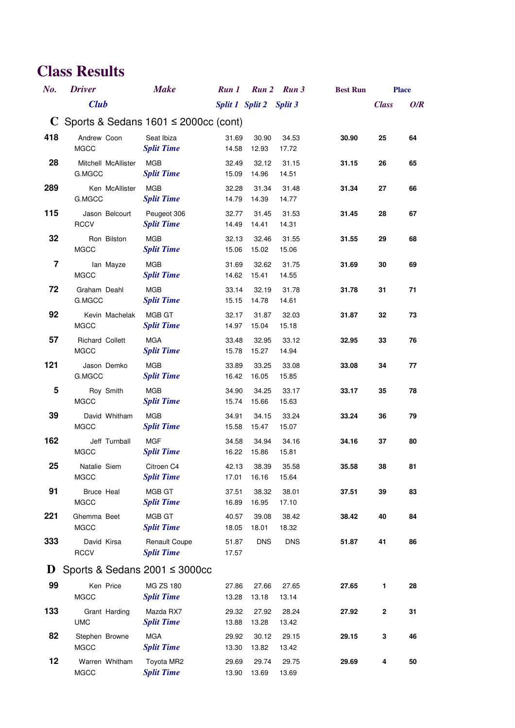| $No$ .         | <b>Driver</b>                                      | <b>Make</b>                               | Run 1          |                         | Run 2 Run 3    | <b>Best Run</b> |              | <b>Place</b> |  |
|----------------|----------------------------------------------------|-------------------------------------------|----------------|-------------------------|----------------|-----------------|--------------|--------------|--|
|                | <b>Club</b>                                        |                                           |                | Split 1 Split 2 Split 3 |                |                 | <b>Class</b> | O/R          |  |
|                | C Sports & Sedans $1601 \le 2000 \text{cc}$ (cont) |                                           |                |                         |                |                 |              |              |  |
| 418            | Andrew Coon<br><b>MGCC</b>                         | Seat Ibiza<br><b>Split Time</b>           | 31.69<br>14.58 | 30.90<br>12.93          | 34.53<br>17.72 | 30.90           | 25           | 64           |  |
| 28             | Mitchell McAllister<br>G.MGCC                      | <b>MGB</b><br><b>Split Time</b>           | 32.49<br>15.09 | 32.12<br>14.96          | 31.15<br>14.51 | 31.15           | 26           | 65           |  |
| 289            | Ken McAllister<br>G.MGCC                           | <b>MGB</b><br><b>Split Time</b>           | 32.28<br>14.79 | 31.34<br>14.39          | 31.48<br>14.77 | 31.34           | 27           | 66           |  |
| 115            | Jason Belcourt<br><b>RCCV</b>                      | Peugeot 306<br><b>Split Time</b>          | 32.77<br>14.49 | 31.45<br>14.41          | 31.53<br>14.31 | 31.45           | 28           | 67           |  |
| 32             | Ron Bilston<br><b>MGCC</b>                         | <b>MGB</b><br><b>Split Time</b>           | 32.13<br>15.06 | 32.46<br>15.02          | 31.55<br>15.06 | 31.55           | 29           | 68           |  |
| $\overline{7}$ | lan Mayze<br><b>MGCC</b>                           | <b>MGB</b><br><b>Split Time</b>           | 31.69<br>14.62 | 32.62<br>15.41          | 31.75<br>14.55 | 31.69           | 30           | 69           |  |
| 72             | Graham Deahl<br>G.MGCC                             | <b>MGB</b><br><b>Split Time</b>           | 33.14<br>15.15 | 32.19<br>14.78          | 31.78<br>14.61 | 31.78           | 31           | 71           |  |
| 92             | Kevin Machelak<br><b>MGCC</b>                      | MGB GT<br><b>Split Time</b>               | 32.17<br>14.97 | 31.87<br>15.04          | 32.03<br>15.18 | 31.87           | 32           | 73           |  |
| 57             | <b>Richard Collett</b><br><b>MGCC</b>              | <b>MGA</b><br><b>Split Time</b>           | 33.48<br>15.78 | 32.95<br>15.27          | 33.12<br>14.94 | 32.95           | 33           | 76           |  |
| 121            | Jason Demko<br>G.MGCC                              | <b>MGB</b><br><b>Split Time</b>           | 33.89<br>16.42 | 33.25<br>16.05          | 33.08<br>15.85 | 33.08           | 34           | 77           |  |
| 5              | Roy Smith<br><b>MGCC</b>                           | <b>MGB</b><br><b>Split Time</b>           | 34.90<br>15.74 | 34.25<br>15.66          | 33.17<br>15.63 | 33.17           | 35           | 78           |  |
| 39             | David Whitham<br><b>MGCC</b>                       | <b>MGB</b><br><b>Split Time</b>           | 34.91<br>15.58 | 34.15<br>15.47          | 33.24<br>15.07 | 33.24           | 36           | 79           |  |
| 162            | Jeff Turnball<br><b>MGCC</b>                       | <b>MGF</b><br><b>Split Time</b>           | 34.58<br>16.22 | 34.94<br>15.86          | 34.16<br>15.81 | 34.16           | 37           | 80           |  |
| 25             | Natalie Siem<br><b>MGCC</b>                        | Citroen C4<br><b>Split Time</b>           | 42.13<br>17.01 | 38.39<br>16.16          | 35.58<br>15.64 | 35.58           | 38           | 81           |  |
| 91             | <b>Bruce Heal</b><br><b>MGCC</b>                   | MGB GT<br><b>Split Time</b>               | 37.51<br>16.89 | 38.32<br>16.95          | 38.01<br>17.10 | 37.51           | 39           | 83           |  |
| 221            | Ghemma Beet<br><b>MGCC</b>                         | MGB GT<br><b>Split Time</b>               | 40.57<br>18.05 | 39.08<br>18.01          | 38.42<br>18.32 | 38.42           | 40           | 84           |  |
| 333            | David Kirsa<br><b>RCCV</b>                         | <b>Renault Coupe</b><br><b>Split Time</b> | 51.87<br>17.57 | <b>DNS</b>              | <b>DNS</b>     | 51.87           | 41           | 86           |  |
| $\bf{D}$       |                                                    | Sports & Sedans $2001 \le 3000$ cc        |                |                         |                |                 |              |              |  |
| 99             | Ken Price<br><b>MGCC</b>                           | MG ZS 180<br><b>Split Time</b>            | 27.86<br>13.28 | 27.66<br>13.18          | 27.65<br>13.14 | 27.65           | 1            | 28           |  |
| 133            | Grant Harding<br><b>UMC</b>                        | Mazda RX7<br><b>Split Time</b>            | 29.32<br>13.88 | 27.92<br>13.28          | 28.24<br>13.42 | 27.92           | $\mathbf 2$  | 31           |  |
| 82             | Stephen Browne<br><b>MGCC</b>                      | <b>MGA</b><br><b>Split Time</b>           | 29.92<br>13.30 | 30.12<br>13.82          | 29.15<br>13.42 | 29.15           | 3            | 46           |  |
| 12             | Warren Whitham<br><b>MGCC</b>                      | Toyota MR2<br><b>Split Time</b>           | 29.69<br>13.90 | 29.74<br>13.69          | 29.75<br>13.69 | 29.69           | 4            | 50           |  |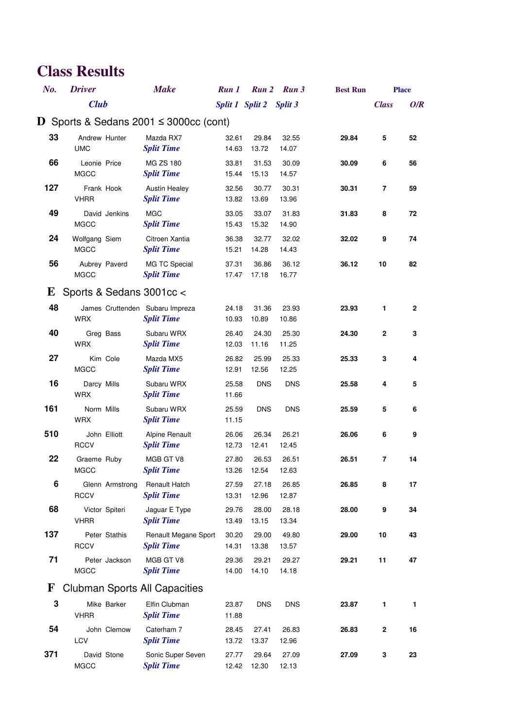| $No$ .       | <b>Driver</b>                                 | <b>Make</b>                                | Run 1                   |                | Run 2 Run 3    | <b>Best Run</b> |              | <b>Place</b> |
|--------------|-----------------------------------------------|--------------------------------------------|-------------------------|----------------|----------------|-----------------|--------------|--------------|
|              | <b>Club</b>                                   |                                            | Split 1 Split 2 Split 3 |                |                |                 | <b>Class</b> | O/R          |
| D.           | Sports & Sedans $2001 \leq 3000$ cc (cont)    |                                            |                         |                |                |                 |              |              |
| 33           | Andrew Hunter<br><b>UMC</b>                   | Mazda RX7<br><b>Split Time</b>             | 32.61<br>14.63          | 29.84<br>13.72 | 32.55<br>14.07 | 29.84           | 5            | 52           |
| 66           | Leonie Price<br><b>MGCC</b>                   | <b>MG ZS 180</b><br><b>Split Time</b>      | 33.81<br>15.44          | 31.53<br>15.13 | 30.09<br>14.57 | 30.09           | 6            | 56           |
| 127          | Frank Hook<br><b>VHRR</b>                     | <b>Austin Healey</b><br><b>Split Time</b>  | 32.56<br>13.82          | 30.77<br>13.69 | 30.31<br>13.96 | 30.31           | 7            | 59           |
| 49           | David Jenkins<br><b>MGCC</b>                  | <b>MGC</b><br><b>Split Time</b>            | 33.05<br>15.43          | 33.07<br>15.32 | 31.83<br>14.90 | 31.83           | 8            | 72           |
| 24           | Wolfgang Siem<br><b>MGCC</b>                  | Citroen Xantia<br><b>Split Time</b>        | 36.38<br>15.21          | 32.77<br>14.28 | 32.02<br>14.43 | 32.02           | 9            | 74           |
| 56           | Aubrey Paverd<br><b>MGCC</b>                  | MG TC Special<br><b>Split Time</b>         | 37.31<br>17.47          | 36.86<br>17.18 | 36.12<br>16.77 | 36.12           | 10           | 82           |
| E            | Sports & Sedans 3001cc <                      |                                            |                         |                |                |                 |              |              |
| 48           | James Cruttenden Subaru Impreza<br><b>WRX</b> | <b>Split Time</b>                          | 24.18<br>10.93          | 31.36<br>10.89 | 23.93<br>10.86 | 23.93           | 1            | $\mathbf{2}$ |
| 40           | Greg Bass<br><b>WRX</b>                       | Subaru WRX<br><b>Split Time</b>            | 26.40<br>12.03          | 24.30<br>11.16 | 25.30<br>11.25 | 24.30           | 2            | 3            |
| 27           | Kim Cole<br><b>MGCC</b>                       | Mazda MX5<br><b>Split Time</b>             | 26.82<br>12.91          | 25.99<br>12.56 | 25.33<br>12.25 | 25.33           | 3            | 4            |
| 16           | Darcy Mills<br><b>WRX</b>                     | Subaru WRX<br><b>Split Time</b>            | 25.58<br>11.66          | <b>DNS</b>     | <b>DNS</b>     | 25.58           | 4            | 5            |
| 161          | Norm Mills<br><b>WRX</b>                      | Subaru WRX<br><b>Split Time</b>            | 25.59<br>11.15          | <b>DNS</b>     | <b>DNS</b>     | 25.59           | 5            | 6            |
| 510          | John Elliott<br><b>RCCV</b>                   | <b>Alpine Renault</b><br><b>Split Time</b> | 26.06<br>12.73          | 26.34<br>12.41 | 26.21<br>12.45 | 26.06           | 6            | 9            |
| 22           | Graeme Ruby<br><b>MGCC</b>                    | MGB GT V8<br><b>Split Time</b>             | 27.80<br>13.26          | 26.53<br>12.54 | 26.51<br>12.63 | 26.51           | 7            | 14           |
| 6            | Glenn Armstrong<br><b>RCCV</b>                | Renault Hatch<br><b>Split Time</b>         | 27.59<br>13.31          | 27.18<br>12.96 | 26.85<br>12.87 | 26.85           | 8            | 17           |
| 68           | Victor Spiteri<br><b>VHRR</b>                 | Jaguar E Type<br><b>Split Time</b>         | 29.76<br>13.49          | 28.00<br>13.15 | 28.18<br>13.34 | 28.00           | 9            | 34           |
| 137          | Peter Stathis<br><b>RCCV</b>                  | Renault Megane Sport<br><b>Split Time</b>  | 30.20<br>14.31          | 29.00<br>13.38 | 49.80<br>13.57 | 29.00           | 10           | 43           |
| 71           | Peter Jackson<br><b>MGCC</b>                  | MGB GT V8<br><b>Split Time</b>             | 29.36<br>14.00          | 29.21<br>14.10 | 29.27<br>14.18 | 29.21           | 11           | 47           |
| $\mathbf{F}$ | <b>Clubman Sports All Capacities</b>          |                                            |                         |                |                |                 |              |              |
| 3            | Mike Barker<br><b>VHRR</b>                    | Elfin Clubman<br><b>Split Time</b>         | 23.87<br>11.88          | <b>DNS</b>     | <b>DNS</b>     | 23.87           | 1            | 1            |
| 54           | John Clemow<br><b>LCV</b>                     | Caterham 7<br><b>Split Time</b>            | 28.45<br>13.72          | 27.41<br>13.37 | 26.83<br>12.96 | 26.83           | $\mathbf 2$  | 16           |
| 371          | David Stone<br><b>MGCC</b>                    | Sonic Super Seven<br><b>Split Time</b>     | 27.77<br>12.42          | 29.64<br>12.30 | 27.09<br>12.13 | 27.09           | 3            | 23           |